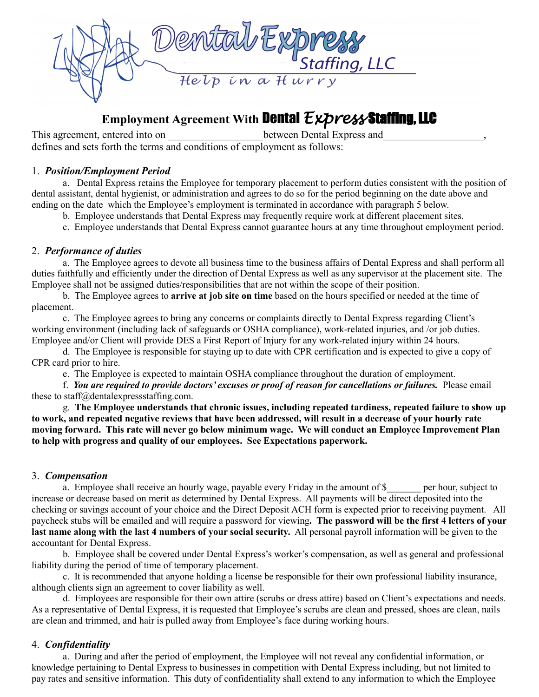

# **Employment Agreement With** Dental *Express* Staffing, LLC

This agreement, entered into on  $\Box$  between Dental Express and defines and sets forth the terms and conditions of employment as follows:

## 1. *Position/Employment Period*

a. Dental Express retains the Employee for temporary placement to perform duties consistent with the position of dental assistant, dental hygienist, or administration and agrees to do so for the period beginning on the date above and ending on the date which the Employee's employment is terminated in accordance with paragraph 5 below.

- b. Employee understands that Dental Express may frequently require work at different placement sites.
- c. Employee understands that Dental Express cannot guarantee hours at any time throughout employment period.

#### 2. *Performance of duties*

a. The Employee agrees to devote all business time to the business affairs of Dental Express and shall perform all duties faithfully and efficiently under the direction of Dental Express as well as any supervisor at the placement site. The Employee shall not be assigned duties/responsibilities that are not within the scope of their position.

b. The Employee agrees to **arrive at job site on time** based on the hours specified or needed at the time of placement.

c. The Employee agrees to bring any concerns or complaints directly to Dental Express regarding Client's working environment (including lack of safeguards or OSHA compliance), work-related injuries, and /or job duties. Employee and/or Client will provide DES a First Report of Injury for any work-related injury within 24 hours.

d. The Employee is responsible for staying up to date with CPR certification and is expected to give a copy of CPR card prior to hire.

e. The Employee is expected to maintain OSHA compliance throughout the duration of employment.

f. *You are required to provide doctors' excuses or proof of reason for cancellations or failures.* Please email these to staff@dentalexpressstaffing.com.

g. **The Employee understands that chronic issues, including repeated tardiness, repeated failure to show up to work, and repeated negative reviews that have been addressed, will result in a decrease of your hourly rate moving forward. This rate will never go below minimum wage. We will conduct an Employee Improvement Plan to help with progress and quality of our employees. See Expectations paperwork.**

#### 3. *Compensation*

a. Employee shall receive an hourly wage, payable every Friday in the amount of \$ per hour, subject to increase or decrease based on merit as determined by Dental Express. All payments will be direct deposited into the checking or savings account of your choice and the Direct Deposit ACH form is expected prior to receiving payment. All paycheck stubs will be emailed and will require a password for viewing**. The password will be the first 4 letters of your last name along with the last 4 numbers of your social security.** All personal payroll information will be given to the accountant for Dental Express.

b. Employee shall be covered under Dental Express's worker's compensation, as well as general and professional liability during the period of time of temporary placement.

c. It is recommended that anyone holding a license be responsible for their own professional liability insurance, although clients sign an agreement to cover liability as well.

d. Employees are responsible for their own attire (scrubs or dress attire) based on Client's expectations and needs. As a representative of Dental Express, it is requested that Employee's scrubs are clean and pressed, shoes are clean, nails are clean and trimmed, and hair is pulled away from Employee's face during working hours.

## 4. *Confidentiality*

a. During and after the period of employment, the Employee will not reveal any confidential information, or knowledge pertaining to Dental Express to businesses in competition with Dental Express including, but not limited to pay rates and sensitive information. This duty of confidentiality shall extend to any information to which the Employee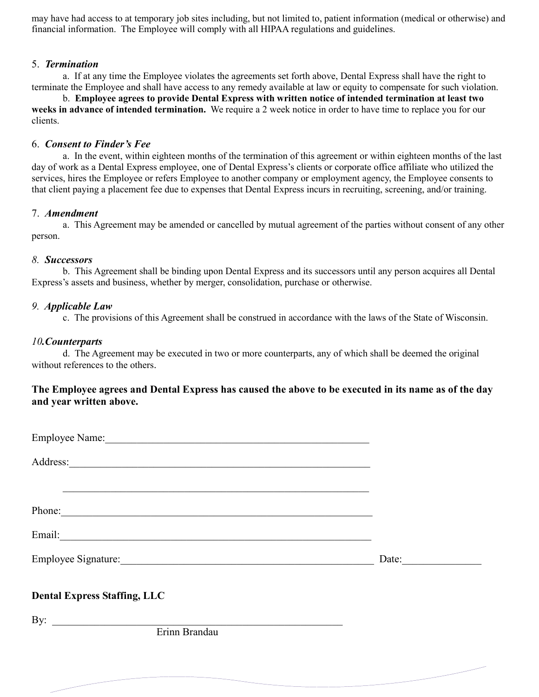may have had access to at temporary job sites including, but not limited to, patient information (medical or otherwise) and financial information. The Employee will comply with all HIPAA regulations and guidelines.

## 5. *Termination*

a. If at any time the Employee violates the agreements set forth above, Dental Express shall have the right to terminate the Employee and shall have access to any remedy available at law or equity to compensate for such violation.

b. **Employee agrees to provide Dental Express with written notice of intended termination at least two weeks in advance of intended termination.** We require a 2 week notice in order to have time to replace you for our clients.

## 6. *Consent to Finder's Fee*

a. In the event, within eighteen months of the termination of this agreement or within eighteen months of the last day of work as a Dental Express employee, one of Dental Express's clients or corporate office affiliate who utilized the services, hires the Employee or refers Employee to another company or employment agency, the Employee consents to that client paying a placement fee due to expenses that Dental Express incurs in recruiting, screening, and/or training.

#### 7. *Amendment*

a. This Agreement may be amended or cancelled by mutual agreement of the parties without consent of any other person.

#### *8. Successors*

b. This Agreement shall be binding upon Dental Express and its successors until any person acquires all Dental Express's assets and business, whether by merger, consolidation, purchase or otherwise.

#### *9. Applicable Law*

c. The provisions of this Agreement shall be construed in accordance with the laws of the State of Wisconsin.

## *10.Counterparts*

d. The Agreement may be executed in two or more counterparts, any of which shall be deemed the original without references to the others.

## **The Employee agrees and Dental Express has caused the above to be executed in its name as of the day and year written above.**

| Phone:                              |       |
|-------------------------------------|-------|
|                                     |       |
|                                     | Date: |
| <b>Dental Express Staffing, LLC</b> |       |
| By: $\overline{\phantom{a}}$        |       |
| Erinn Brandau                       |       |
|                                     |       |